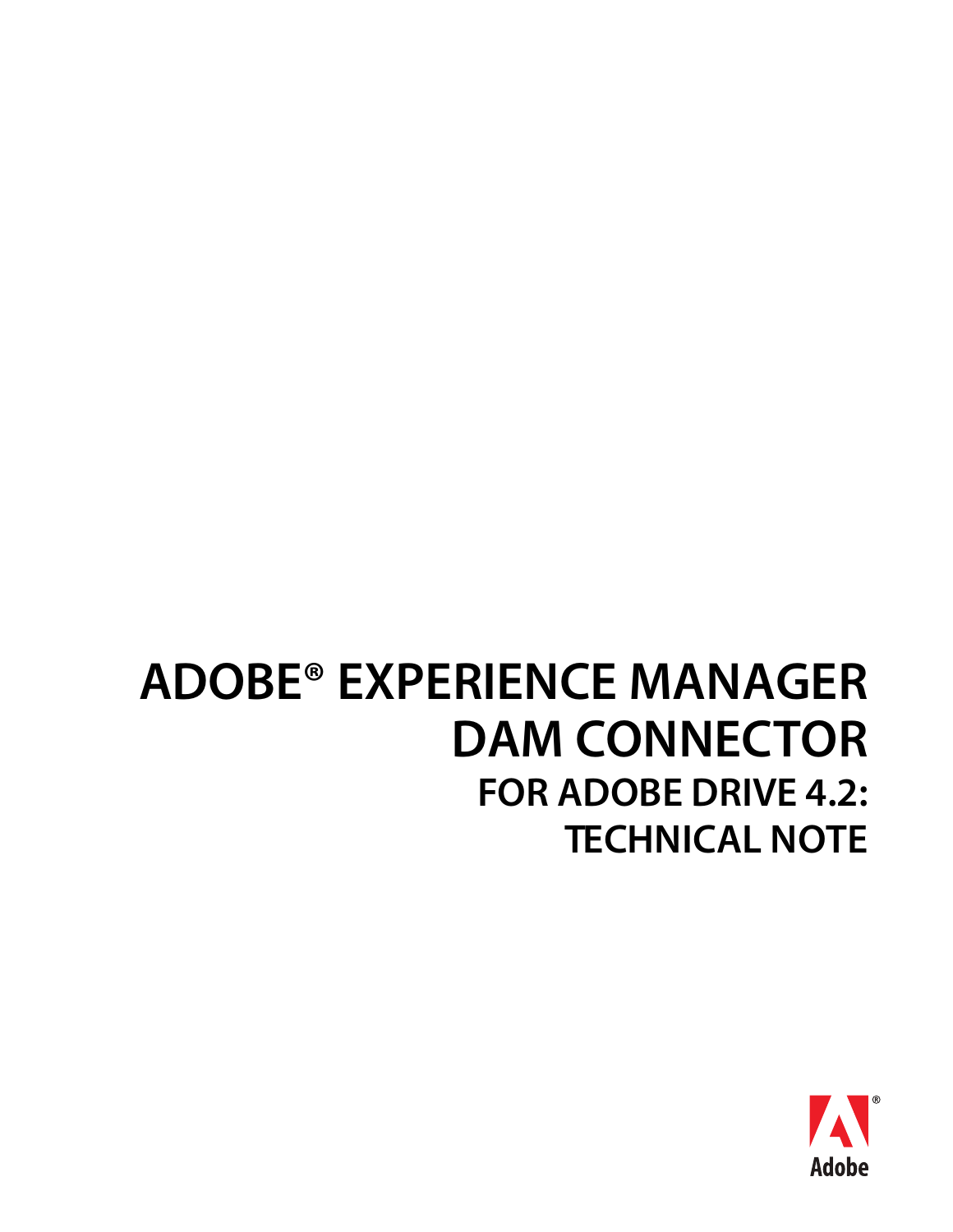# **ADOBE® EXPERIENCE MANAGER DAM CONNECTOR FOR ADOBE DRIVE 4.2: TECHNICAL NOTE**

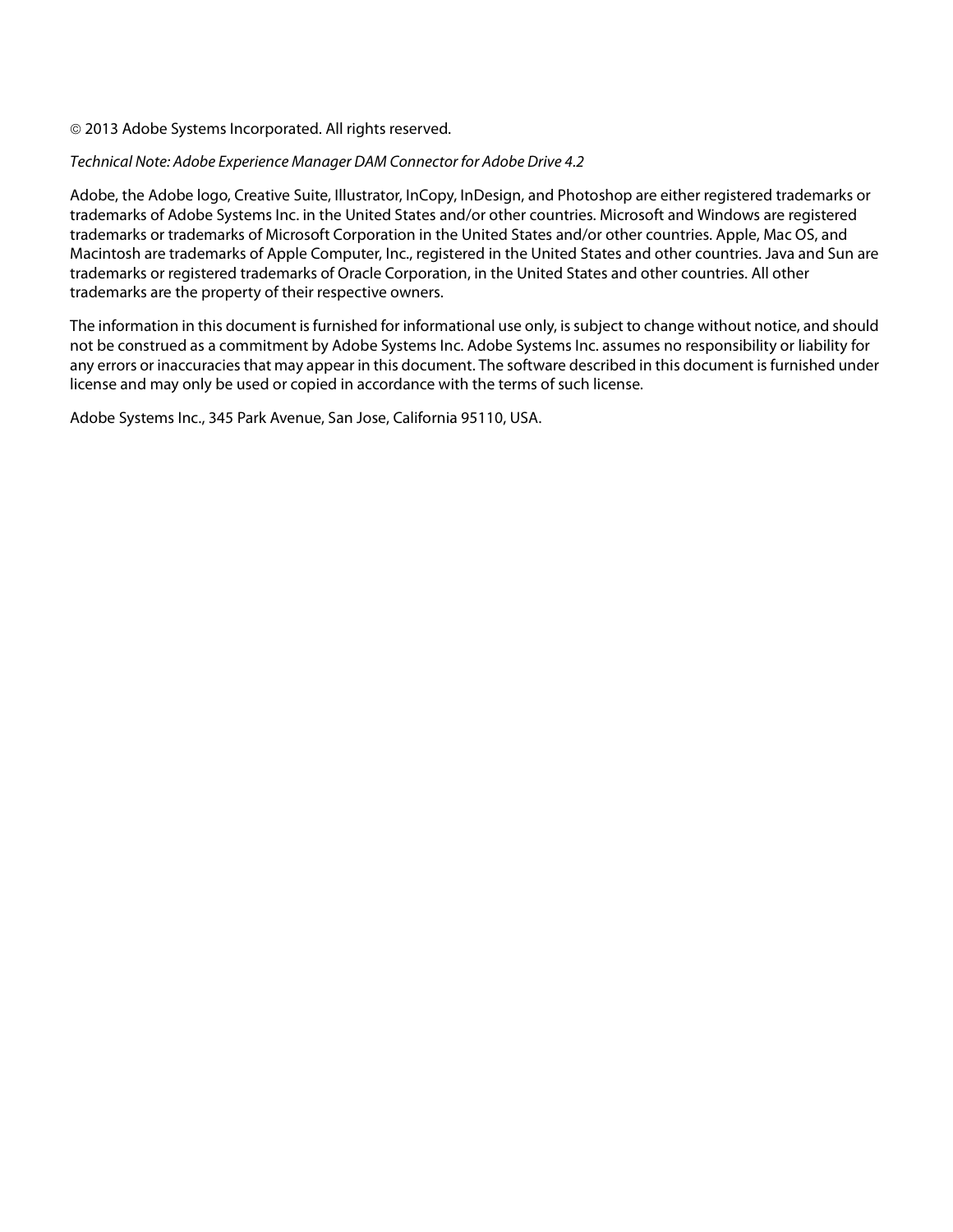#### © 2013 Adobe Systems Incorporated. All rights reserved.

#### Technical Note: Adobe Experience Manager DAM Connector for Adobe Drive 4.2

Adobe, the Adobe logo, Creative Suite, Illustrator, InCopy, InDesign, and Photoshop are either registered trademarks or trademarks of Adobe Systems Inc. in the United States and/or other countries. Microsoft and Windows are registered trademarks or trademarks of Microsoft Corporation in the United States and/or other countries. Apple, Mac OS, and Macintosh are trademarks of Apple Computer, Inc., registered in the United States and other countries. Java and Sun are trademarks or registered trademarks of Oracle Corporation, in the United States and other countries. All other trademarks are the property of their respective owners.

The information in this document is furnished for informational use only, is subject to change without notice, and should not be construed as a commitment by Adobe Systems Inc. Adobe Systems Inc. assumes no responsibility or liability for any errors or inaccuracies that may appear in this document. The software described in this document is furnished under license and may only be used or copied in accordance with the terms of such license.

Adobe Systems Inc., 345 Park Avenue, San Jose, California 95110, USA.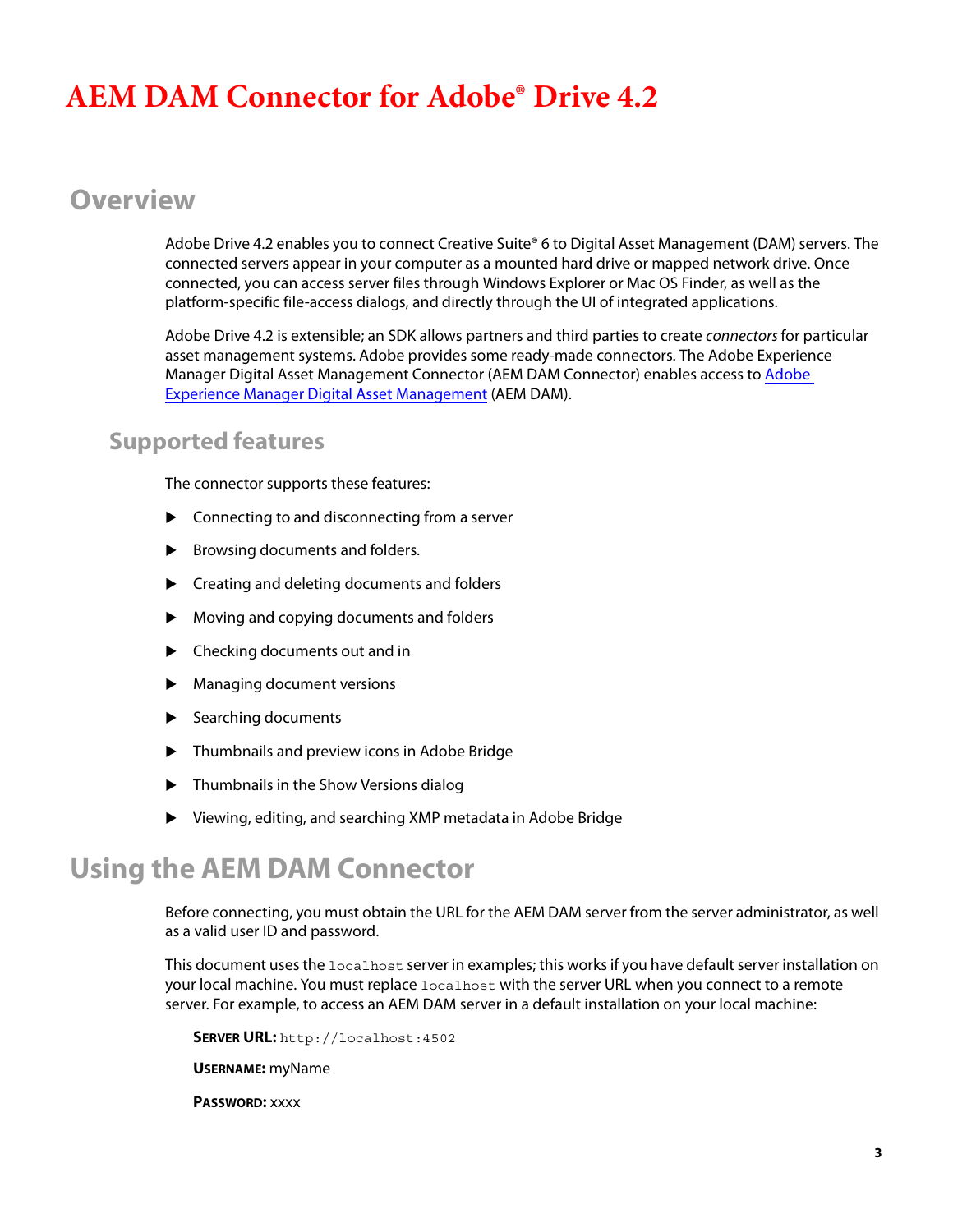# **AEM DAM Connector for Adobe® Drive 4.2**

# **Overview**

Adobe Drive 4.2 enables you to connect Creative Suite® 6 to Digital Asset Management (DAM) servers. The connected servers appear in your computer as a mounted hard drive or mapped network drive. Once connected, you can access server files through Windows Explorer or Mac OS Finder, as well as the platform-specific file-access dialogs, and directly through the UI of integrated applications.

Adobe Drive 4.2 is extensible; an SDK allows partners and third parties to create *connectors* for particular asset management systems. Adobe provides some ready-made connectors. The Adobe Experience Manager Digital Asset Management Connector (AEM DAM Connector) enables access to [Adobe](http://adobe.com/go/aem)  [Experience Manager Digital Asset Management](http://adobe.com/go/aem) (AEM DAM).

## **Supported features**

The connector supports these features:

- $\blacktriangleright$  Connecting to and disconnecting from a server
- $\blacktriangleright$  Browsing documents and folders.
- ▶ Creating and deleting documents and folders
- Moving and copying documents and folders
- ▶ Checking documents out and in
- Managing document versions
- Searching documents
- Thumbnails and preview icons in Adobe Bridge
- ▶ Thumbnails in the Show Versions dialog
- Viewing, editing, and searching XMP metadata in Adobe Bridge

# **Using the AEM DAM Connector**

Before connecting, you must obtain the URL for the AEM DAM server from the server administrator, as well as a valid user ID and password.

This document uses the localhost server in examples; this works if you have default server installation on your local machine. You must replace localhost with the server URL when you connect to a remote server. For example, to access an AEM DAM server in a default installation on your local machine:

**SERVER URL:** <http://localhost:4502>

**USERNAME:** myName

**PASSWORD:** xxxx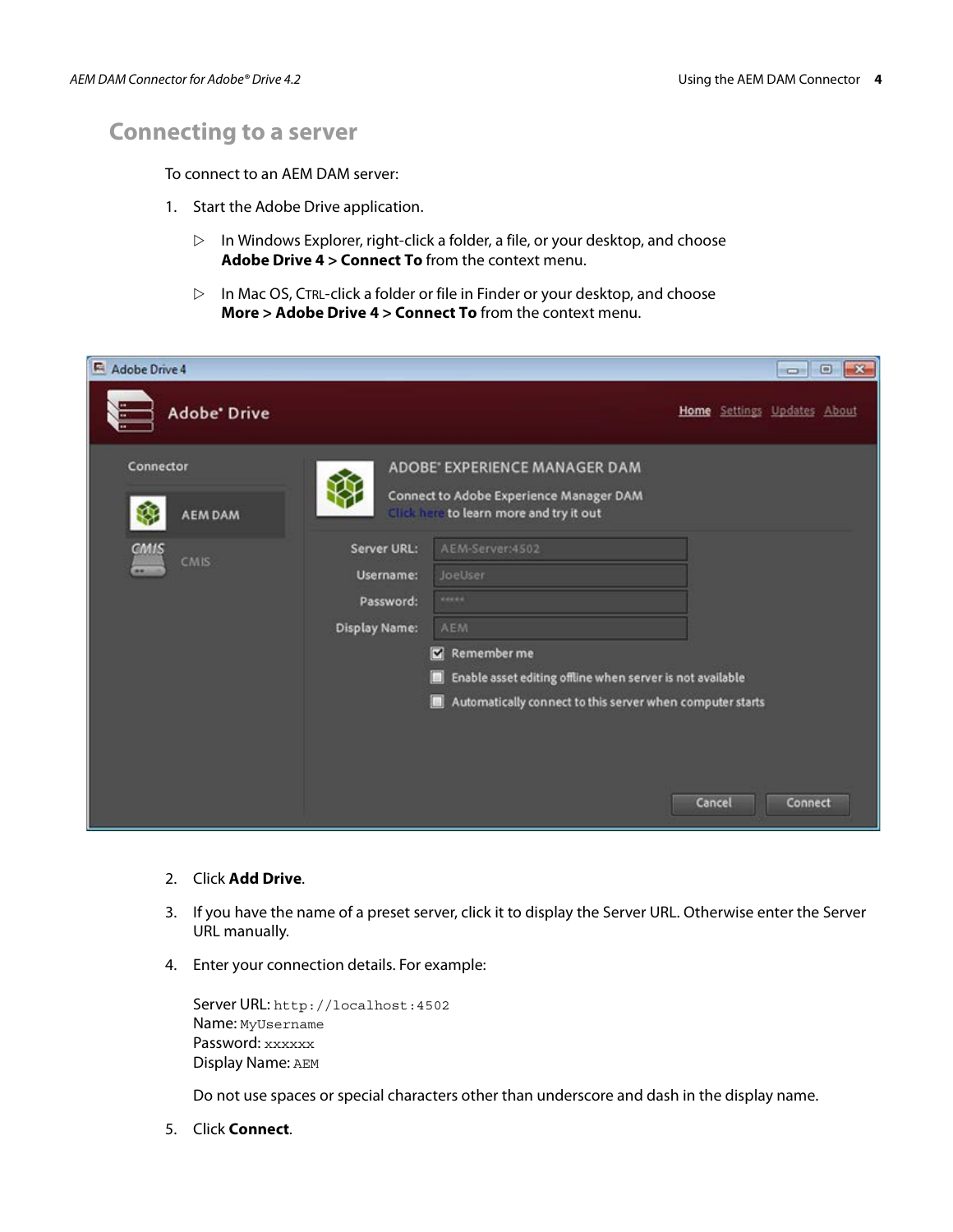# **Connecting to a server**

To connect to an AEM DAM server:

- 1. Start the Adobe Drive application.
	- $\triangleright$  In Windows Explorer, right-click a folder, a file, or your desktop, and choose **Adobe Drive 4 > Connect To** from the context menu.
	- $\triangleright$  In Mac OS, CTRL-click a folder or file in Finder or your desktop, and choose **More > Adobe Drive 4 > Connect To** from the context menu.

| Adobe Drive 4                    |                                                                      |                                                                                                                                                                                                             |        | $-x$<br>$\Box$<br>$\Box$    |
|----------------------------------|----------------------------------------------------------------------|-------------------------------------------------------------------------------------------------------------------------------------------------------------------------------------------------------------|--------|-----------------------------|
| <b>Adobe</b> Drive               |                                                                      |                                                                                                                                                                                                             |        | Home Settings Updates About |
| Connector<br>₩<br><b>AEM DAM</b> |                                                                      | ADOBE" EXPERIENCE MANAGER DAM<br>Connect to Adobe Experience Manager DAM<br>Click have to learn more and try it out                                                                                         |        |                             |
| CMIS<br>CMIS<br>m.               | <b>Server URL:</b><br>Username:<br>Password:<br><b>Display Name:</b> | AEM-Server:4502<br><b>JoeUser</b><br><b>WANNA</b><br>AEM<br>Remember me<br>Enable asset editing offline when server is not available<br>ш<br>Automatically connect to this server when computer starts<br>о | Cancel | Connect                     |

#### 2. Click **Add Drive**.

- 3. If you have the name of a preset server, click it to display the Server URL. Otherwise enter the Server URL manually.
- 4. Enter your connection details. For example:

| Server URL: http://localhost:4502 |
|-----------------------------------|
| Name: MyUsername                  |
| Password: xxxxxx                  |
| Display Name: AEM                 |

Do not use spaces or special characters other than underscore and dash in the display name.

5. Click **Connect**.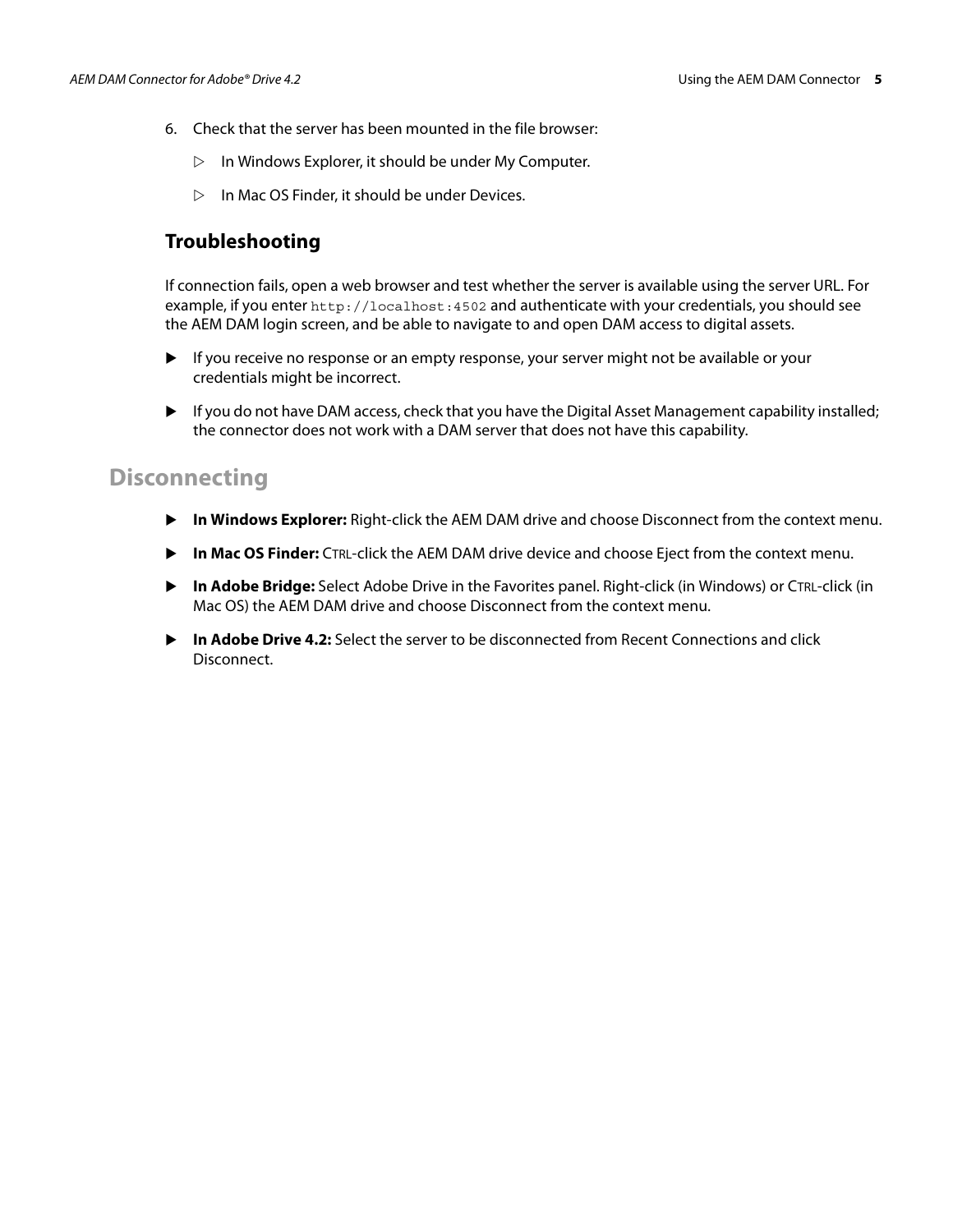- 6. Check that the server has been mounted in the file browser:
	- $\triangleright$  In Windows Explorer, it should be under My Computer.
	- $\triangleright$  In Mac OS Finder, it should be under Devices.

#### **Troubleshooting**

If connection fails, open a web browser and test whether the server is available using the server URL. For example, if you enter <http://localhost:4502> and authenticate with your credentials, you should see the AEM DAM login screen, and be able to navigate to and open DAM access to digital assets.

- If you receive no response or an empty response, your server might not be available or your credentials might be incorrect.
- If you do not have DAM access, check that you have the Digital Asset Management capability installed; the connector does not work with a DAM server that does not have this capability.

#### **Disconnecting**

- **In Windows Explorer:** Right-click the AEM DAM drive and choose Disconnect from the context menu.
- **In Mac OS Finder:** CTRL-click the AEM DAM drive device and choose Eject from the context menu.
- **In Adobe Bridge:** Select Adobe Drive in the Favorites panel. Right-click (in Windows) or CTRL-click (in Mac OS) the AEM DAM drive and choose Disconnect from the context menu.
- **In Adobe Drive 4.2:** Select the server to be disconnected from Recent Connections and click Disconnect.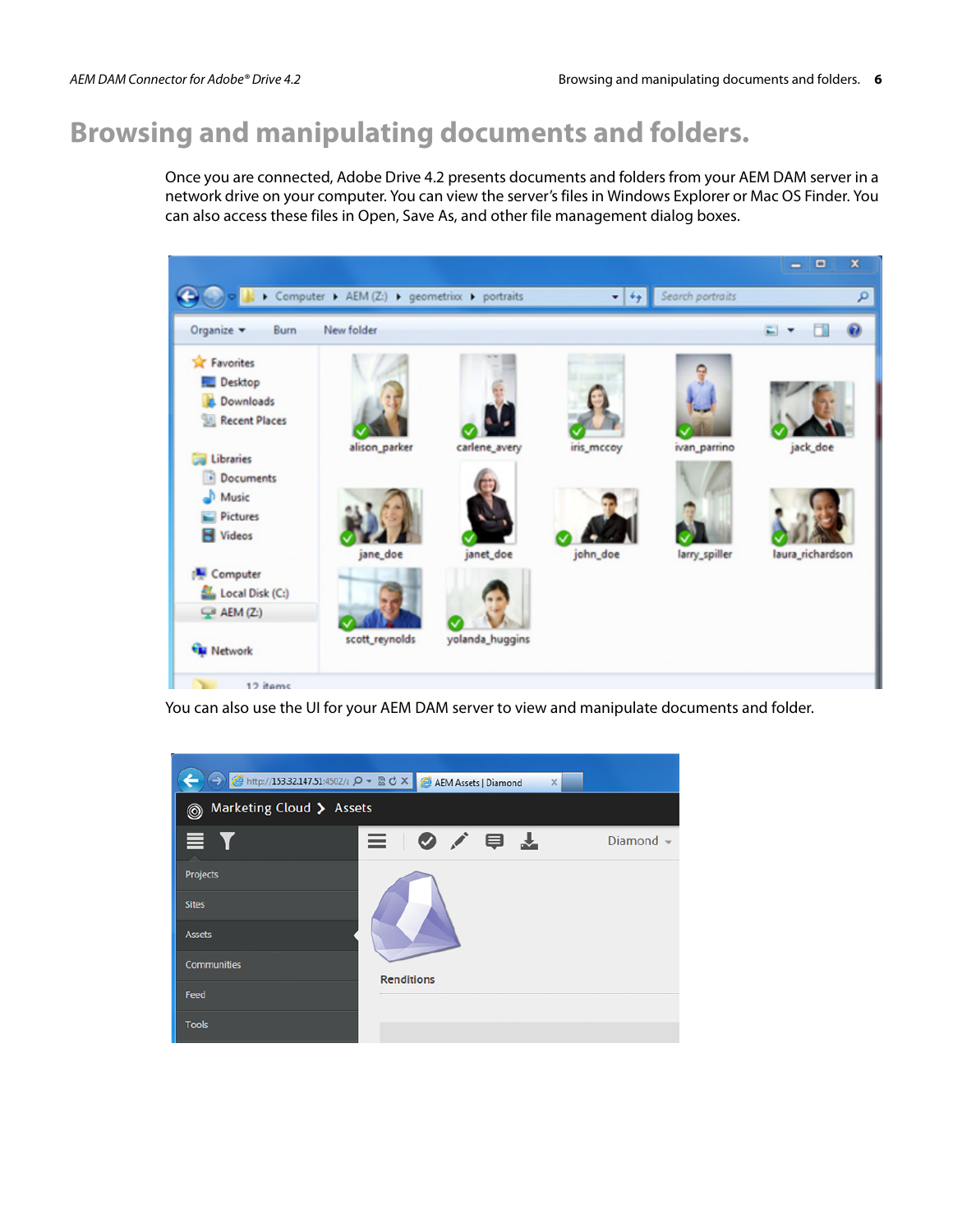# **Browsing and manipulating documents and folders.**

Once you are connected, Adobe Drive 4.2 presents documents and folders from your AEM DAM server in a network drive on your computer. You can view the server's files in Windows Explorer or Mac OS Finder. You can also access these files in Open, Save As, and other file management dialog boxes.



You can also use the UI for your AEM DAM server to view and manipulate documents and folder.

|                               | AEM Assets   Diamond<br>$\times$ |                |  |  |  |  |
|-------------------------------|----------------------------------|----------------|--|--|--|--|
| Marketing Cloud > Assets<br>0 |                                  |                |  |  |  |  |
| E Y                           | 三〇八日子                            | Diamond $\sim$ |  |  |  |  |
| Projects                      |                                  |                |  |  |  |  |
| <b>Sites</b>                  |                                  |                |  |  |  |  |
| <b>Assets</b>                 |                                  |                |  |  |  |  |
| <b>Communities</b>            | <b>Renditions</b>                |                |  |  |  |  |
| Feed                          |                                  |                |  |  |  |  |
| <b>Tools</b>                  |                                  |                |  |  |  |  |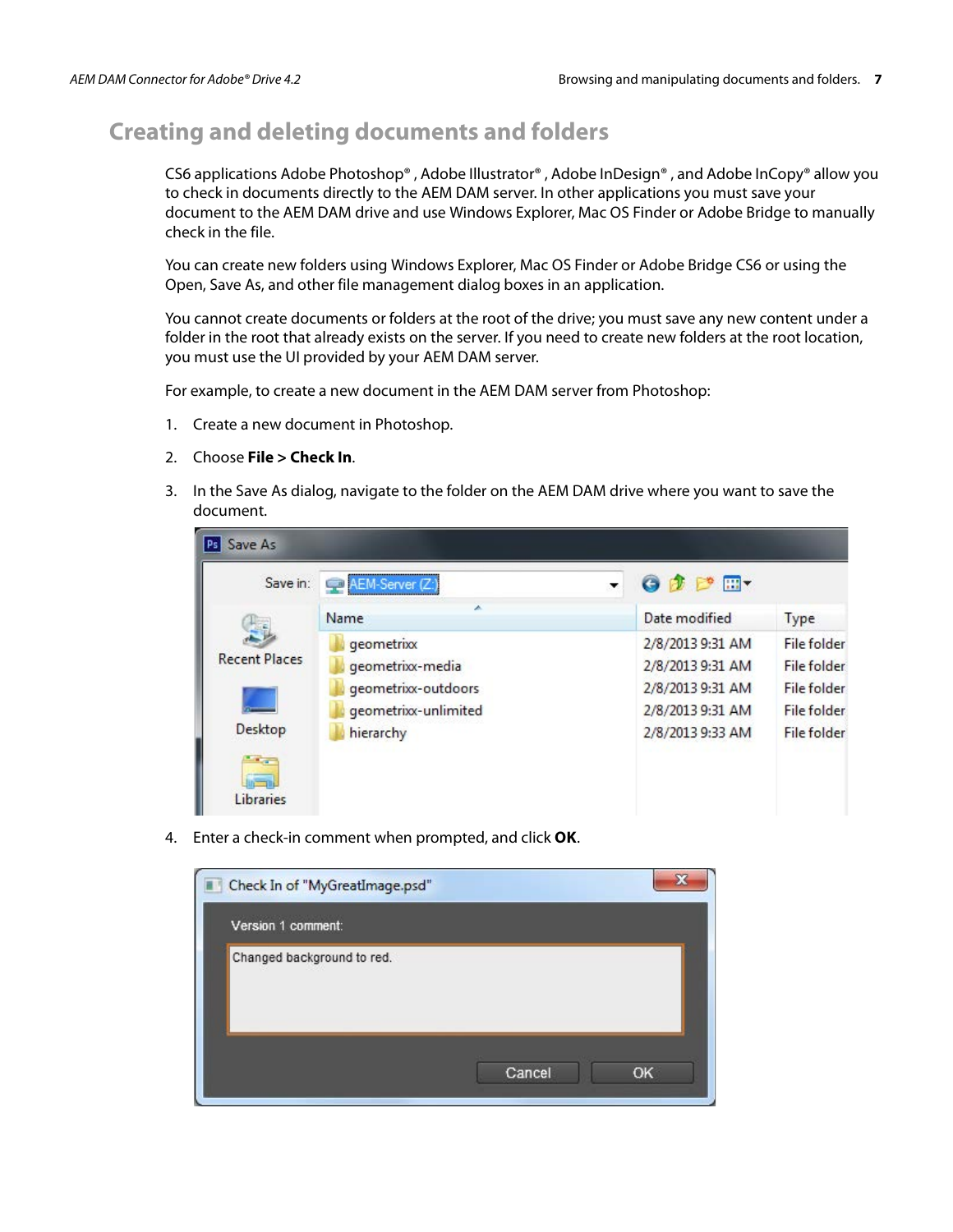## **Creating and deleting documents and folders**

CS6 applications Adobe Photoshop® , Adobe Illustrator® , Adobe InDesign® , and Adobe InCopy® allow you to check in documents directly to the AEM DAM server. In other applications you must save your document to the AEM DAM drive and use Windows Explorer, Mac OS Finder or Adobe Bridge to manually check in the file.

You can create new folders using Windows Explorer, Mac OS Finder or Adobe Bridge CS6 or using the Open, Save As, and other file management dialog boxes in an application.

You cannot create documents or folders at the root of the drive; you must save any new content under a folder in the root that already exists on the server. If you need to create new folders at the root location, you must use the UI provided by your AEM DAM server.

For example, to create a new document in the AEM DAM server from Photoshop:

- 1. Create a new document in Photoshop.
- 2. Choose **File > Check In**.
- 3. In the Save As dialog, navigate to the folder on the AEM DAM drive where you want to save the document.

| Save in:             | AEM-Server (Z:       | 0 1 1 1          |                    |
|----------------------|----------------------|------------------|--------------------|
|                      | Name                 | Date modified    | Type               |
|                      | geometrixx           | 2/8/2013 9:31 AM | File folder        |
| <b>Recent Places</b> | geometrixx-media     | 2/8/2013 9:31 AM | <b>File folder</b> |
|                      | geometrixx-outdoors  | 2/8/2013 9:31 AM | File folder        |
|                      | geometrixx-unlimited | 2/8/2013 9:31 AM | <b>File folder</b> |
| Desktop              | hierarchy            | 2/8/2013 9:33 AM | <b>File folder</b> |
| <b>College</b>       |                      |                  |                    |
| Libraries            |                      |                  |                    |

4. Enter a check-in comment when prompted, and click **OK**.

| Check In of "MyGreatImage.psd" |        |    |
|--------------------------------|--------|----|
| Version 1 comment:             |        |    |
| Changed background to red.     |        |    |
|                                | Cancel | OK |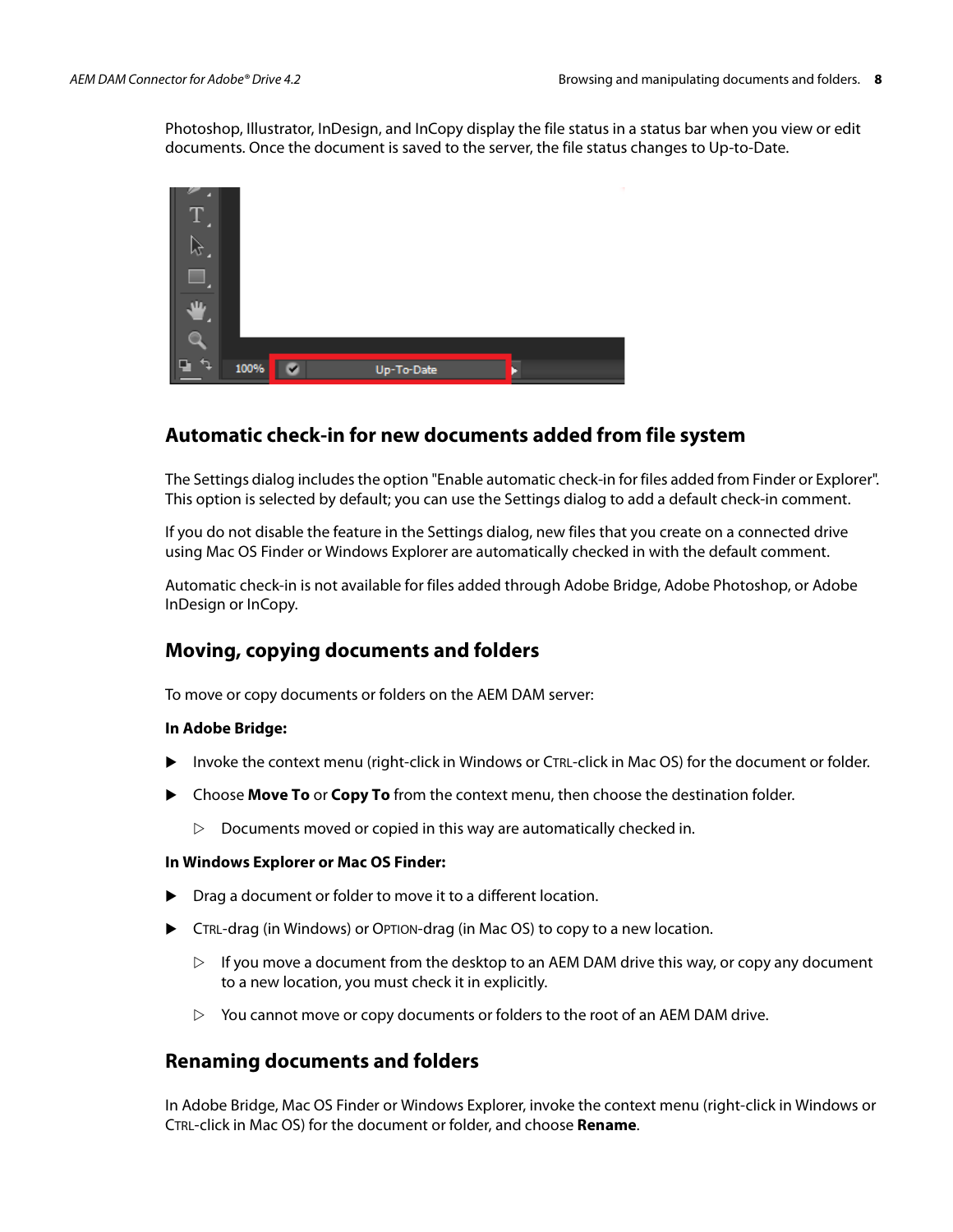Photoshop, Illustrator, InDesign, and InCopy display the file status in a status bar when you view or edit documents. Once the document is saved to the server, the file status changes to Up-to-Date.



## **Automatic check-in for new documents added from file system**

The Settings dialog includes the option "Enable automatic check-in for files added from Finder or Explorer". This option is selected by default; you can use the Settings dialog to add a default check-in comment.

If you do not disable the feature in the Settings dialog, new files that you create on a connected drive using Mac OS Finder or Windows Explorer are automatically checked in with the default comment.

Automatic check-in is not available for files added through Adobe Bridge, Adobe Photoshop, or Adobe InDesign or InCopy.

#### **Moving, copying documents and folders**

To move or copy documents or folders on the AEM DAM server:

#### **In Adobe Bridge:**

- Invoke the context menu (right-click in Windows or CTRL-click in Mac OS) for the document or folder.
- Choose **Move To** or **Copy To** from the context menu, then choose the destination folder.
	- $\triangleright$  Documents moved or copied in this way are automatically checked in.

#### **In Windows Explorer or Mac OS Finder:**

- ▶ Drag a document or folder to move it to a different location.
- CTRL-drag (in Windows) or OPTION-drag (in Mac OS) to copy to a new location.
	- $\triangleright$  If you move a document from the desktop to an AEM DAM drive this way, or copy any document to a new location, you must check it in explicitly.
	- $\triangleright$  You cannot move or copy documents or folders to the root of an AEM DAM drive.

#### **Renaming documents and folders**

In Adobe Bridge, Mac OS Finder or Windows Explorer, invoke the context menu (right-click in Windows or CTRL-click in Mac OS) for the document or folder, and choose **Rename**.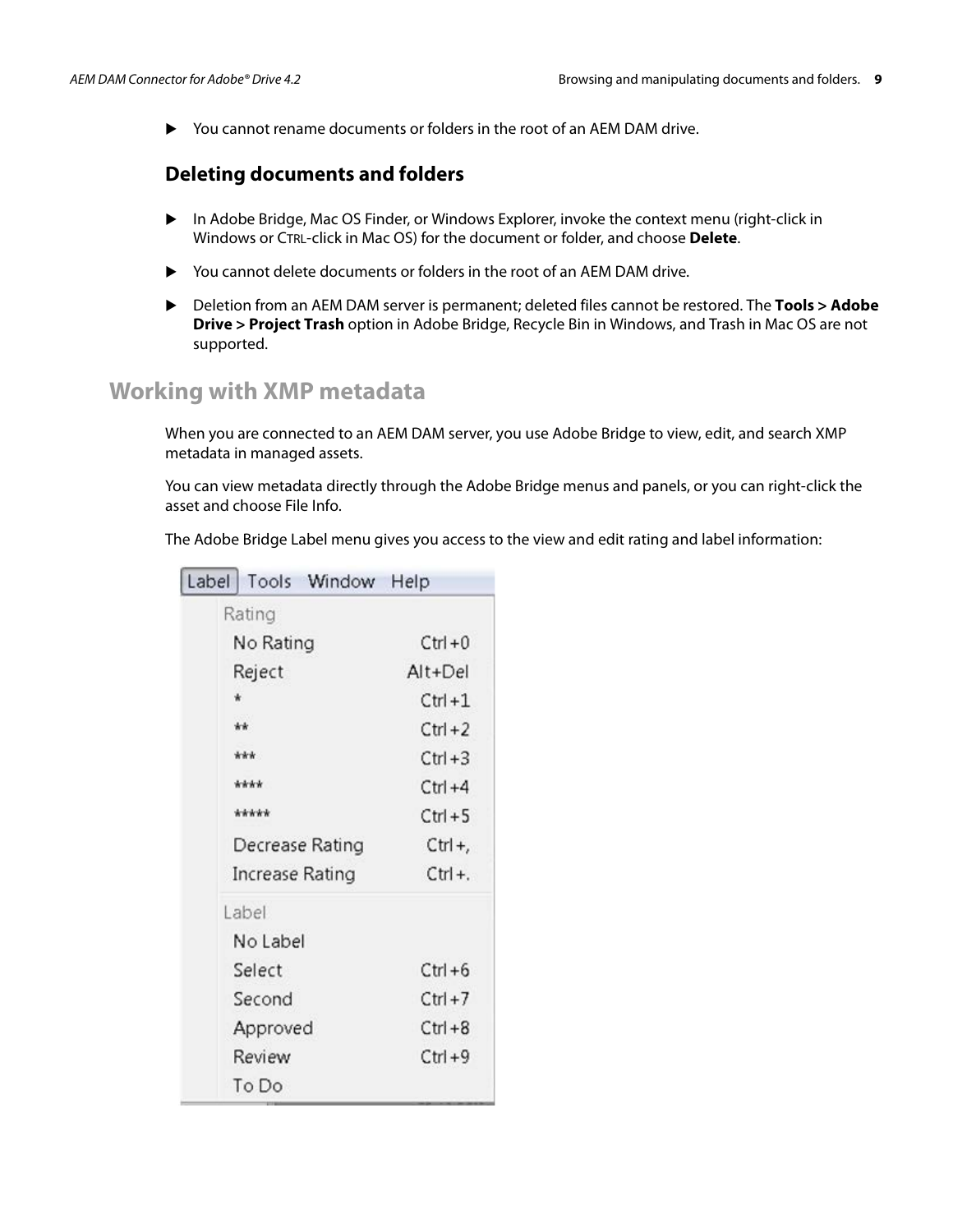You cannot rename documents or folders in the root of an AEM DAM drive.

#### **Deleting documents and folders**

- In Adobe Bridge, Mac OS Finder, or Windows Explorer, invoke the context menu (right-click in Windows or CTRL-click in Mac OS) for the document or folder, and choose **Delete**.
- You cannot delete documents or folders in the root of an AEM DAM drive.
- Deletion from an AEM DAM server is permanent; deleted files cannot be restored. The **Tools > Adobe Drive > Project Trash** option in Adobe Bridge, Recycle Bin in Windows, and Trash in Mac OS are not supported.

## **Working with XMP metadata**

When you are connected to an AEM DAM server, you use Adobe Bridge to view, edit, and search XMP metadata in managed assets.

You can view metadata directly through the Adobe Bridge menus and panels, or you can right-click the asset and choose File Info.

The Adobe Bridge Label menu gives you access to the view and edit rating and label information:

| Label |                 | Tools Window    | Help       |
|-------|-----------------|-----------------|------------|
|       | Rating          |                 |            |
|       | No Rating       |                 | $Ctrl + 0$ |
|       | Reject          |                 | $Alt+Del$  |
| ŵ     |                 |                 | $C$ trl +1 |
|       | **              |                 | $Ctrl + 2$ |
|       | ***             |                 | $Ctrl + 3$ |
|       | ****            |                 | $Ctrl + 4$ |
|       | *****           |                 | $Ctrl + 5$ |
|       |                 | Decrease Rating | $Ctrl +$ , |
|       | Increase Rating |                 | $Ctrl +$ . |
|       | Label           |                 |            |
|       | No Label        |                 |            |
|       | Select          |                 | $Ctrl + 6$ |
|       | Second          |                 | $Ctrl + 7$ |
|       | Approved        |                 | $Ctrl + 8$ |
|       | Review          |                 | $Ctrl + 9$ |
|       | To Do           |                 |            |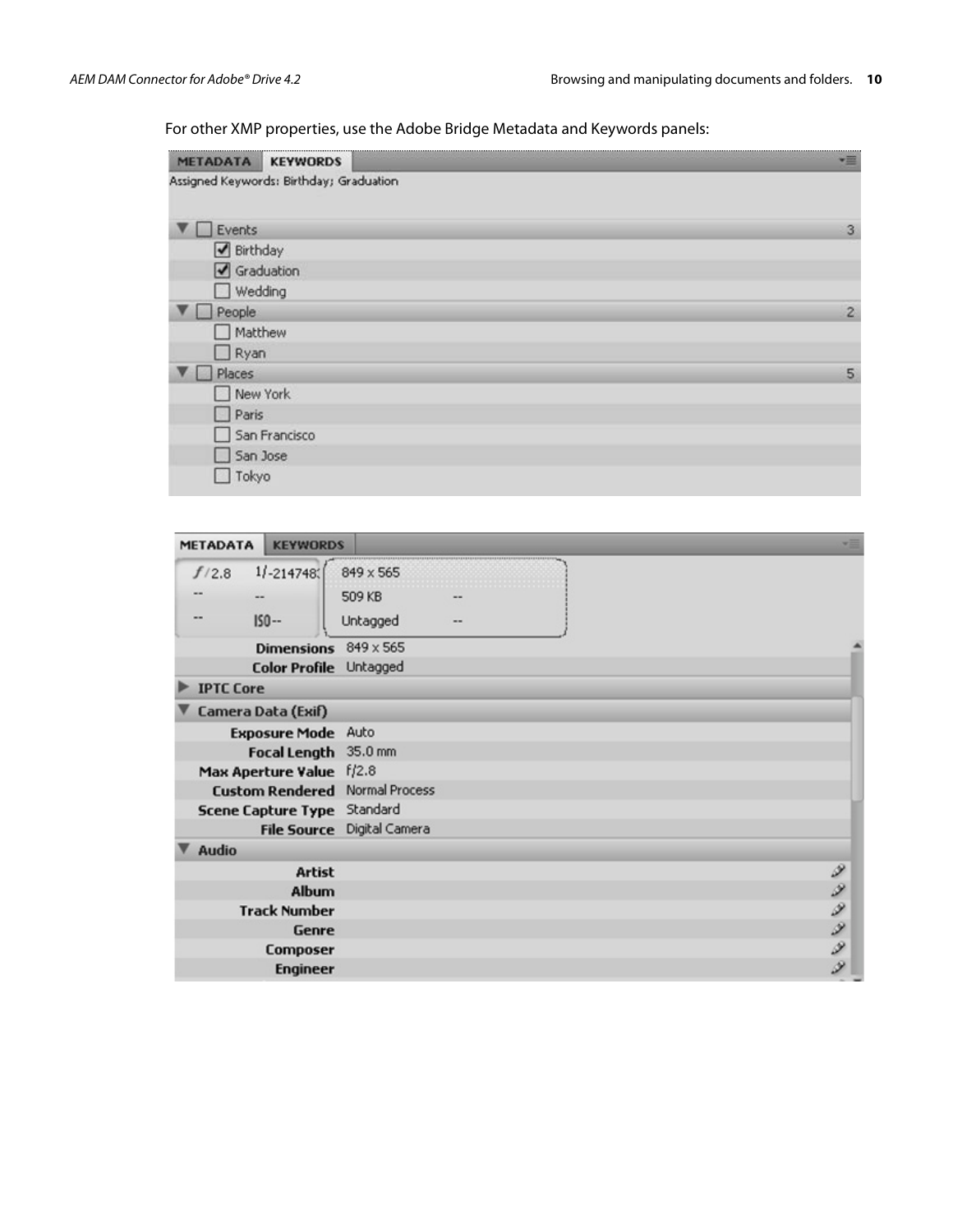For other XMP properties, use the Adobe Bridge Metadata and Keywords panels:

| <b>METADATA</b><br><b>KEYWORDS</b>      | 僵            |
|-----------------------------------------|--------------|
| Assigned Keywords: Birthday; Graduation |              |
| Events                                  | $\mathbf{3}$ |
| Birthday                                |              |
| Graduation                              |              |
| □ Wedding                               |              |
| $\Box$ People                           | $\mathbf{2}$ |
| Matthew                                 |              |
| $\Box$ Ryan                             |              |
| Places<br><b>All Cold</b>               | 5            |
| New York                                |              |
| $\Box$ Paris                            |              |
| San Francisco                           |              |
| San Jose                                |              |
| Tokyo                                   |              |

| <b>METADATA</b>  | <b>KEYWORDS</b>             |                                       |        |
|------------------|-----------------------------|---------------------------------------|--------|
| f/2.8            | $1/ -214748$                | 849 x 565                             |        |
|                  | --                          | 509 KB                                |        |
|                  | $IS0 -$                     | Untagged                              |        |
|                  | Dimensions 849 x 565        |                                       |        |
|                  | Color Profile Untagged      |                                       |        |
| <b>IPTC Core</b> |                             |                                       |        |
|                  | Camera Data (Exif)          |                                       |        |
|                  | <b>Exposure Mode</b> Auto   |                                       |        |
|                  | Focal Length 35.0 mm        |                                       |        |
|                  | Max Aperture Value f/2.8    |                                       |        |
|                  |                             | <b>Custom Rendered Normal Process</b> |        |
|                  | Scene Capture Type Standard |                                       |        |
|                  |                             | File Source Digital Camera            |        |
| <b>Audio</b>     |                             |                                       |        |
|                  | <b>Artist</b>               |                                       |        |
|                  | Album                       |                                       |        |
|                  | <b>Track Number</b>         |                                       |        |
|                  | <b>Genre</b>                |                                       |        |
|                  | <b>Composer</b>             |                                       | リソフツファ |
|                  | <b>Engineer</b>             |                                       |        |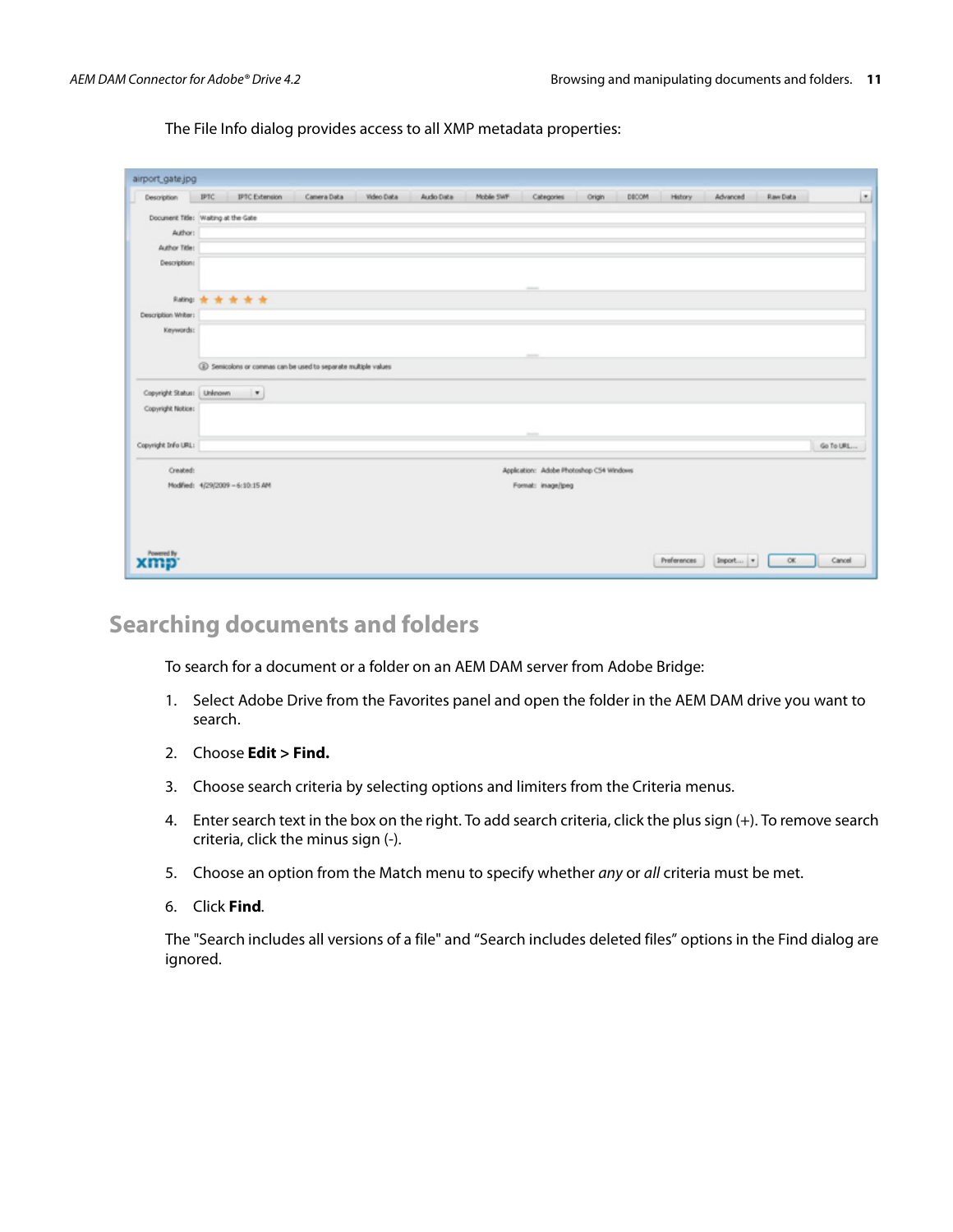The File Info dialog provides access to all XMP metadata properties:

| airport_gate.jpg                    |                                  |                          |                                                                |            |            |            |                                          |        |       |             |          |                 |           |   |
|-------------------------------------|----------------------------------|--------------------------|----------------------------------------------------------------|------------|------------|------------|------------------------------------------|--------|-------|-------------|----------|-----------------|-----------|---|
| Description                         | IPTC                             | <b>IPTC Extension</b>    | Camera Data                                                    | Video Data | Audio Data | Mobile SWF | Categories                               | Origin | DECOM | History     | Advanced | <b>Raw Data</b> |           | ◛ |
| Document Title: Walting at the Gate |                                  |                          |                                                                |            |            |            |                                          |        |       |             |          |                 |           |   |
| Author:                             |                                  |                          |                                                                |            |            |            |                                          |        |       |             |          |                 |           |   |
| Author Title:                       |                                  |                          |                                                                |            |            |            |                                          |        |       |             |          |                 |           |   |
| Description:                        |                                  |                          |                                                                |            |            |            |                                          |        |       |             |          |                 |           |   |
|                                     |                                  |                          |                                                                |            |            |            | points.                                  |        |       |             |          |                 |           |   |
|                                     | Raling 责 责 责 责 责                 |                          |                                                                |            |            |            |                                          |        |       |             |          |                 |           |   |
| Description Writer:<br>Keywords:    |                                  |                          |                                                                |            |            |            |                                          |        |       |             |          |                 |           |   |
|                                     |                                  |                          |                                                                |            |            |            |                                          |        |       |             |          |                 |           |   |
|                                     |                                  |                          | 4 Semicolons or commas can be used to separate multiple values |            |            |            |                                          |        |       |             |          |                 |           |   |
| Copyright Status: Uninown           |                                  | $\overline{\phantom{a}}$ |                                                                |            |            |            |                                          |        |       |             |          |                 |           |   |
| Copyright Notice:                   |                                  |                          |                                                                |            |            |            |                                          |        |       |             |          |                 |           |   |
|                                     |                                  |                          |                                                                |            |            |            | $\overline{\phantom{a}}$                 |        |       |             |          |                 |           |   |
| Copyright Info URL:                 |                                  |                          |                                                                |            |            |            |                                          |        |       |             |          |                 | Go To URL |   |
| Created:                            |                                  |                          |                                                                |            |            |            | Application: Adobe Photoshop CS4 Windows |        |       |             |          |                 |           |   |
|                                     | Modified: 4/29/2009 - 6:10:15 AM |                          |                                                                |            |            |            | Format: image/peg                        |        |       |             |          |                 |           |   |
|                                     |                                  |                          |                                                                |            |            |            |                                          |        |       |             |          |                 |           |   |
|                                     |                                  |                          |                                                                |            |            |            |                                          |        |       |             |          |                 |           |   |
|                                     |                                  |                          |                                                                |            |            |            |                                          |        |       |             |          |                 |           |   |
| owered By                           |                                  |                          |                                                                |            |            |            |                                          |        |       | Preferences | Import   | OK              | Cancel    |   |

#### **Searching documents and folders**

To search for a document or a folder on an AEM DAM server from Adobe Bridge:

- 1. Select Adobe Drive from the Favorites panel and open the folder in the AEM DAM drive you want to search.
- 2. Choose **Edit > Find.**
- 3. Choose search criteria by selecting options and limiters from the Criteria menus.
- 4. Enter search text in the box on the right. To add search criteria, click the plus sign (+). To remove search criteria, click the minus sign (-).
- 5. Choose an option from the Match menu to specify whether any or all criteria must be met.
- 6. Click **Find**.

The "Search includes all versions of a file" and "Search includes deleted files" options in the Find dialog are ignored.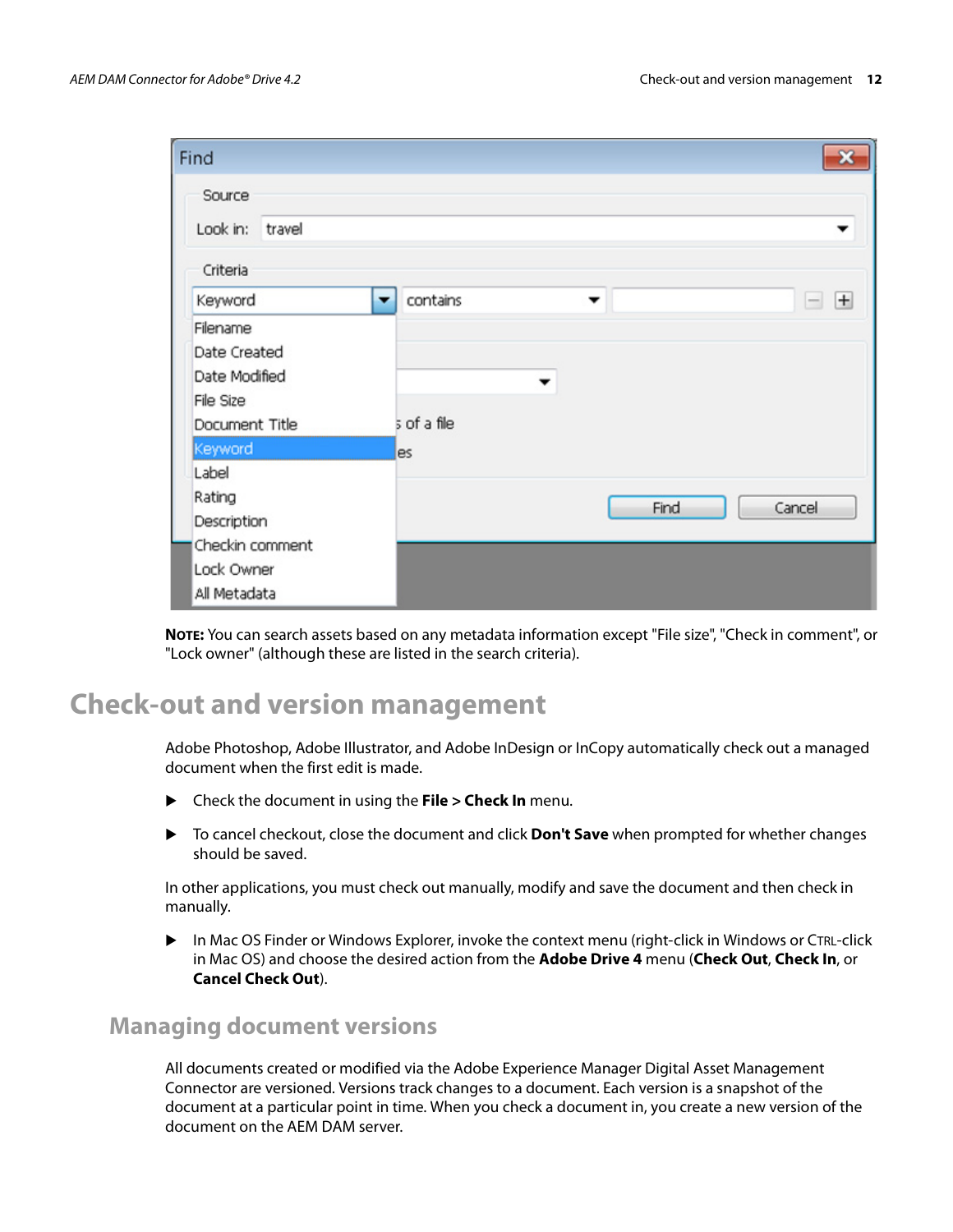| Find                                          | $\mathbf x$            |
|-----------------------------------------------|------------------------|
| Source<br>Look in: travel                     | ▼                      |
| Criteria<br>Keyword<br>▼                      | contains<br>$\pm$<br>▼ |
| Filename                                      | $\qquad \qquad -$      |
| Date Created<br>Date Modified<br>File Size    | ▼                      |
| Document Title                                | s of a file            |
| Keyword                                       | es                     |
| Label<br>Rating<br>Description                | Cancel<br>Find         |
| Checkin comment<br>Lock Owner<br>All Metadata |                        |

**NOTE:** You can search assets based on any metadata information except "File size", "Check in comment", or "Lock owner" (although these are listed in the search criteria).

## **Check-out and version management**

Adobe Photoshop, Adobe Illustrator, and Adobe InDesign or InCopy automatically check out a managed document when the first edit is made.

- Check the document in using the **File > Check In** menu.
- To cancel checkout, close the document and click **Don't Save** when prompted for whether changes should be saved.

In other applications, you must check out manually, modify and save the document and then check in manually.

 In Mac OS Finder or Windows Explorer, invoke the context menu (right-click in Windows or CTRL-click in Mac OS) and choose the desired action from the **Adobe Drive 4** menu (**Check Out**, **Check In**, or **Cancel Check Out**).

#### **Managing document versions**

All documents created or modified via the Adobe Experience Manager Digital Asset Management Connector are versioned. Versions track changes to a document. Each version is a snapshot of the document at a particular point in time. When you check a document in, you create a new version of the document on the AEM DAM server.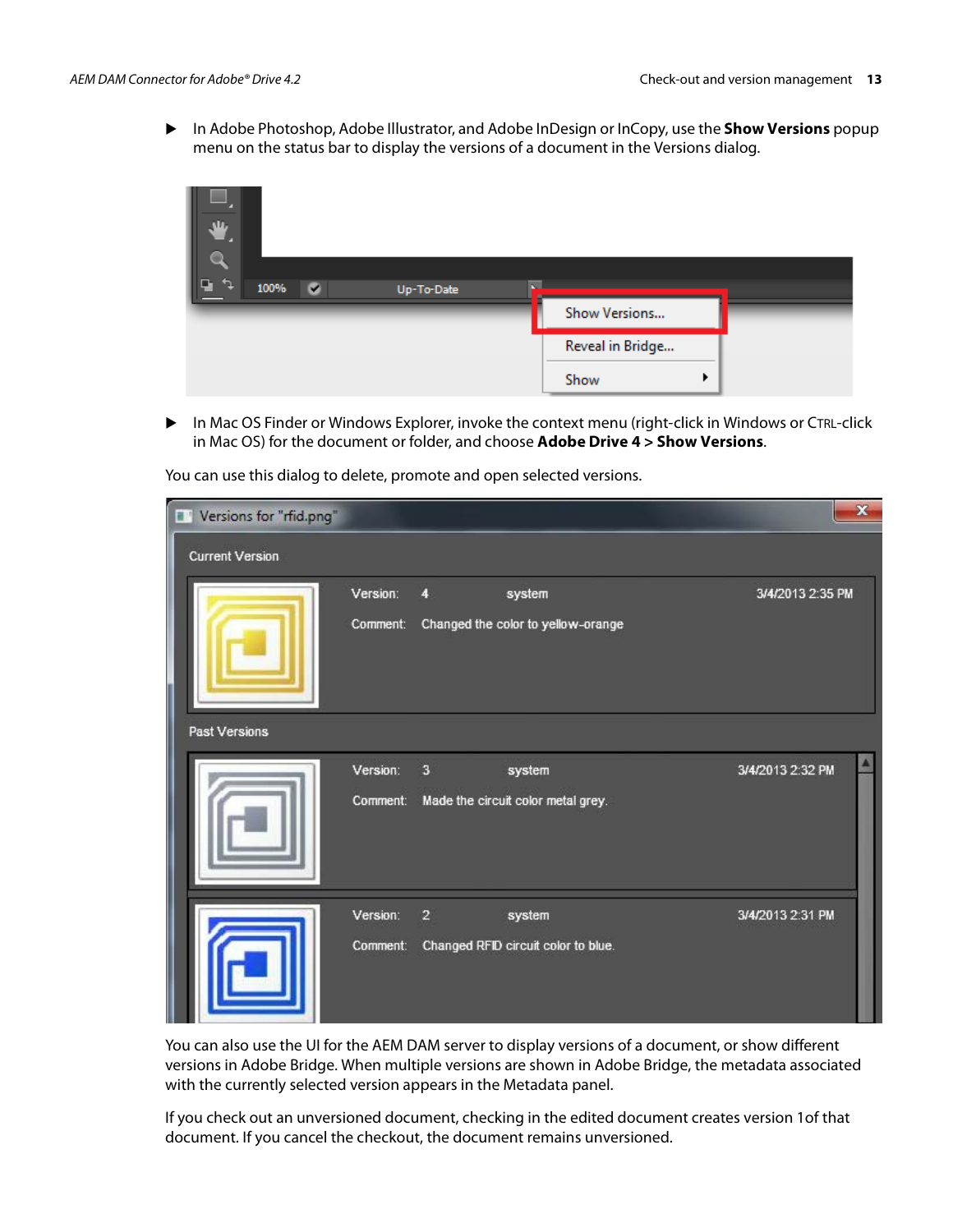In Adobe Photoshop, Adobe Illustrator, and Adobe InDesign or InCopy, use the **Show Versions** popup menu on the status bar to display the versions of a document in the Versions dialog.



 In Mac OS Finder or Windows Explorer, invoke the context menu (right-click in Windows or CTRL-click in Mac OS) for the document or folder, and choose **Adobe Drive 4 > Show Versions**.

| $\blacksquare$<br>Versions for "rfid.png" |                      |                         |                                               | $\mathbf{x}$     |
|-------------------------------------------|----------------------|-------------------------|-----------------------------------------------|------------------|
| <b>Current Version</b>                    |                      |                         |                                               |                  |
|                                           | Version:<br>Comment: | 4                       | system<br>Changed the color to yellow-orange  | 3/4/2013 2:35 PM |
| Past Versions                             |                      |                         |                                               |                  |
|                                           | Version:<br>Comment: | $\overline{\mathbf{3}}$ | system<br>Made the circuit color metal grey.  | 3/4/2013 2:32 PM |
|                                           | Version:<br>Comment: | $\overline{2}$          | system<br>Changed RFID circuit color to blue. | 3/4/2013 2:31 PM |

You can use this dialog to delete, promote and open selected versions.

You can also use the UI for the AEM DAM server to display versions of a document, or show different versions in Adobe Bridge. When multiple versions are shown in Adobe Bridge, the metadata associated with the currently selected version appears in the Metadata panel.

If you check out an unversioned document, checking in the edited document creates version 1of that document. If you cancel the checkout, the document remains unversioned.